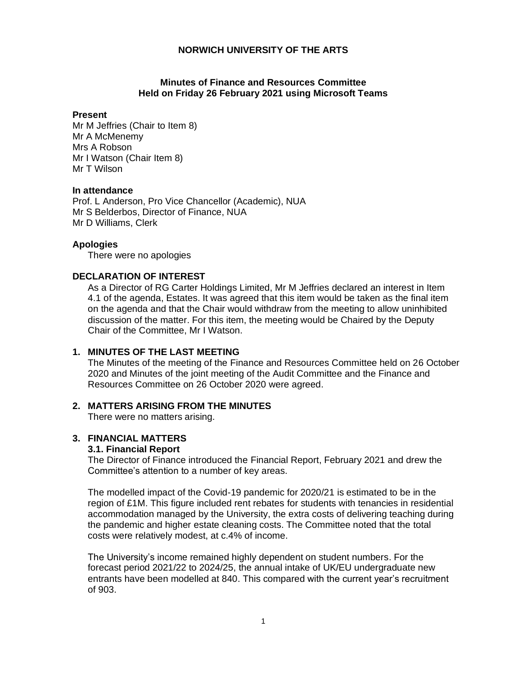# **Minutes of Finance and Resources Committee Held on Friday 26 February 2021 using Microsoft Teams**

#### **Present**

Mr M Jeffries (Chair to Item 8) Mr A McMenemy Mrs A Robson Mr I Watson (Chair Item 8) Mr T Wilson

#### **In attendance**

Prof. L Anderson, Pro Vice Chancellor (Academic), NUA Mr S Belderbos, Director of Finance, NUA Mr D Williams, Clerk

## **Apologies**

There were no apologies

# **DECLARATION OF INTEREST**

As a Director of RG Carter Holdings Limited, Mr M Jeffries declared an interest in Item 4.1 of the agenda, Estates. It was agreed that this item would be taken as the final item on the agenda and that the Chair would withdraw from the meeting to allow uninhibited discussion of the matter. For this item, the meeting would be Chaired by the Deputy Chair of the Committee, Mr I Watson.

# **1. MINUTES OF THE LAST MEETING**

The Minutes of the meeting of the Finance and Resources Committee held on 26 October 2020 and Minutes of the joint meeting of the Audit Committee and the Finance and Resources Committee on 26 October 2020 were agreed.

## **2. MATTERS ARISING FROM THE MINUTES**

There were no matters arising.

# **3. FINANCIAL MATTERS**

# **3.1. Financial Report**

The Director of Finance introduced the Financial Report, February 2021 and drew the Committee's attention to a number of key areas.

The modelled impact of the Covid-19 pandemic for 2020/21 is estimated to be in the region of £1M. This figure included rent rebates for students with tenancies in residential accommodation managed by the University, the extra costs of delivering teaching during the pandemic and higher estate cleaning costs. The Committee noted that the total costs were relatively modest, at c.4% of income.

The University's income remained highly dependent on student numbers. For the forecast period 2021/22 to 2024/25, the annual intake of UK/EU undergraduate new entrants have been modelled at 840. This compared with the current year's recruitment of 903.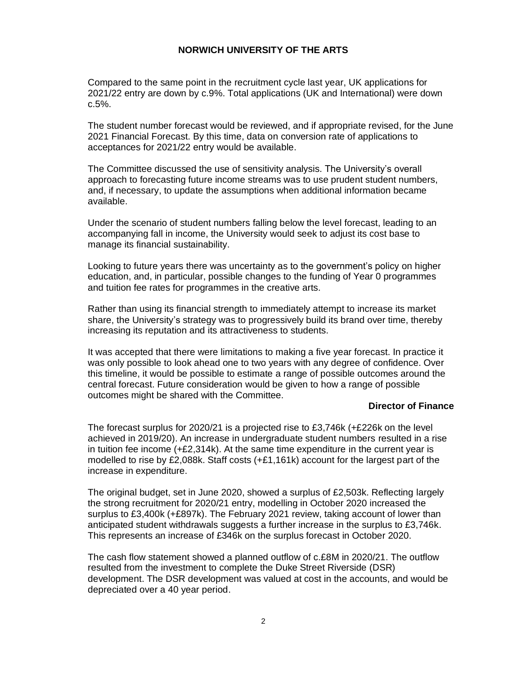Compared to the same point in the recruitment cycle last year, UK applications for 2021/22 entry are down by c.9%. Total applications (UK and International) were down c.5%.

The student number forecast would be reviewed, and if appropriate revised, for the June 2021 Financial Forecast. By this time, data on conversion rate of applications to acceptances for 2021/22 entry would be available.

The Committee discussed the use of sensitivity analysis. The University's overall approach to forecasting future income streams was to use prudent student numbers, and, if necessary, to update the assumptions when additional information became available.

Under the scenario of student numbers falling below the level forecast, leading to an accompanying fall in income, the University would seek to adjust its cost base to manage its financial sustainability.

Looking to future years there was uncertainty as to the government's policy on higher education, and, in particular, possible changes to the funding of Year 0 programmes and tuition fee rates for programmes in the creative arts.

Rather than using its financial strength to immediately attempt to increase its market share, the University's strategy was to progressively build its brand over time, thereby increasing its reputation and its attractiveness to students.

It was accepted that there were limitations to making a five year forecast. In practice it was only possible to look ahead one to two years with any degree of confidence. Over this timeline, it would be possible to estimate a range of possible outcomes around the central forecast. Future consideration would be given to how a range of possible outcomes might be shared with the Committee.

## **Director of Finance**

The forecast surplus for 2020/21 is a projected rise to £3,746k (+£226k on the level achieved in 2019/20). An increase in undergraduate student numbers resulted in a rise in tuition fee income  $(+E2,314k)$ . At the same time expenditure in the current year is modelled to rise by £2,088k. Staff costs (+£1,161k) account for the largest part of the increase in expenditure.

The original budget, set in June 2020, showed a surplus of £2,503k. Reflecting largely the strong recruitment for 2020/21 entry, modelling in October 2020 increased the surplus to £3,400k (+£897k). The February 2021 review, taking account of lower than anticipated student withdrawals suggests a further increase in the surplus to £3,746k. This represents an increase of £346k on the surplus forecast in October 2020.

The cash flow statement showed a planned outflow of c.£8M in 2020/21. The outflow resulted from the investment to complete the Duke Street Riverside (DSR) development. The DSR development was valued at cost in the accounts, and would be depreciated over a 40 year period.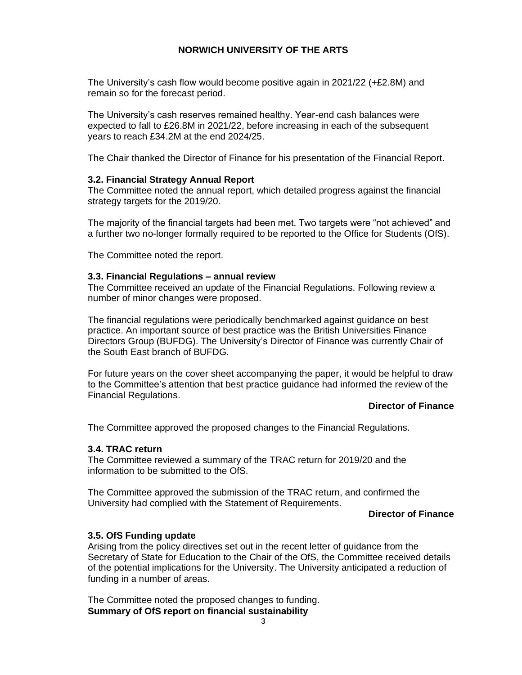The University's cash flow would become positive again in 2021/22 (+£2.8M) and remain so for the forecast period.

The University's cash reserves remained healthy. Year-end cash balances were expected to fall to £26.8M in 2021/22, before increasing in each of the subsequent years to reach £34.2M at the end 2024/25.

The Chair thanked the Director of Finance for his presentation of the Financial Report.

## **3.2. Financial Strategy Annual Report**

The Committee noted the annual report, which detailed progress against the financial strategy targets for the 2019/20.

The majority of the financial targets had been met. Two targets were "not achieved" and a further two no-longer formally required to be reported to the Office for Students (OfS).

The Committee noted the report.

#### **3.3. Financial Regulations – annual review**

The Committee received an update of the Financial Regulations. Following review a number of minor changes were proposed.

The financial regulations were periodically benchmarked against guidance on best practice. An important source of best practice was the British Universities Finance Directors Group (BUFDG). The University's Director of Finance was currently Chair of the South East branch of BUFDG.

For future years on the cover sheet accompanying the paper, it would be helpful to draw to the Committee's attention that best practice guidance had informed the review of the Financial Regulations.

# **Director of Finance**

The Committee approved the proposed changes to the Financial Regulations.

## **3.4. TRAC return**

The Committee reviewed a summary of the TRAC return for 2019/20 and the information to be submitted to the OfS.

The Committee approved the submission of the TRAC return, and confirmed the University had complied with the Statement of Requirements.

#### **Director of Finance**

# **3.5. OfS Funding update**

Arising from the policy directives set out in the recent letter of guidance from the Secretary of State for Education to the Chair of the OfS, the Committee received details of the potential implications for the University. The University anticipated a reduction of funding in a number of areas.

The Committee noted the proposed changes to funding. **Summary of OfS report on financial sustainability**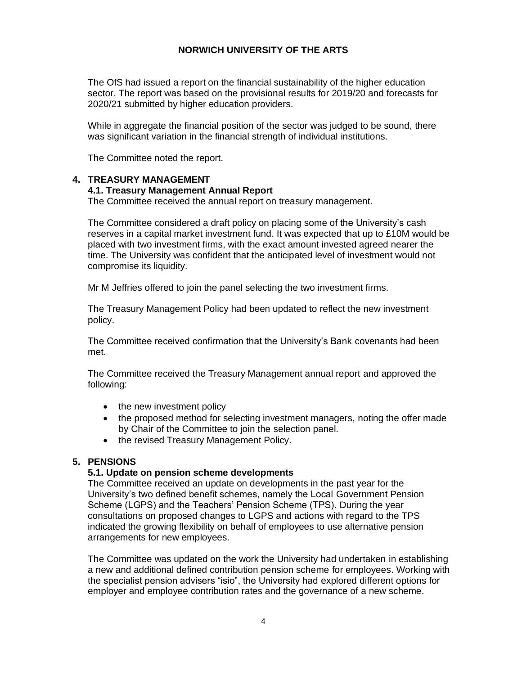The OfS had issued a report on the financial sustainability of the higher education sector. The report was based on the provisional results for 2019/20 and forecasts for 2020/21 submitted by higher education providers.

While in aggregate the financial position of the sector was judged to be sound, there was significant variation in the financial strength of individual institutions.

The Committee noted the report.

# **4. TREASURY MANAGEMENT**

## **4.1. Treasury Management Annual Report**

The Committee received the annual report on treasury management.

The Committee considered a draft policy on placing some of the University's cash reserves in a capital market investment fund. It was expected that up to £10M would be placed with two investment firms, with the exact amount invested agreed nearer the time. The University was confident that the anticipated level of investment would not compromise its liquidity.

Mr M Jeffries offered to join the panel selecting the two investment firms.

The Treasury Management Policy had been updated to reflect the new investment policy.

The Committee received confirmation that the University's Bank covenants had been met.

The Committee received the Treasury Management annual report and approved the following:

- the new investment policy
- the proposed method for selecting investment managers, noting the offer made by Chair of the Committee to join the selection panel.
- the revised Treasury Management Policy.

# **5. PENSIONS**

#### **5.1. Update on pension scheme developments**

The Committee received an update on developments in the past year for the University's two defined benefit schemes, namely the Local Government Pension Scheme (LGPS) and the Teachers' Pension Scheme (TPS). During the year consultations on proposed changes to LGPS and actions with regard to the TPS indicated the growing flexibility on behalf of employees to use alternative pension arrangements for new employees.

The Committee was updated on the work the University had undertaken in establishing a new and additional defined contribution pension scheme for employees. Working with the specialist pension advisers "isio", the University had explored different options for employer and employee contribution rates and the governance of a new scheme.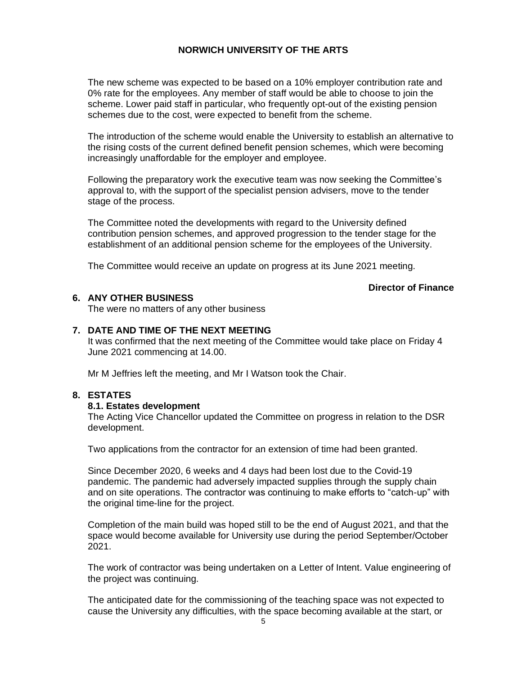The new scheme was expected to be based on a 10% employer contribution rate and 0% rate for the employees. Any member of staff would be able to choose to join the scheme. Lower paid staff in particular, who frequently opt-out of the existing pension schemes due to the cost, were expected to benefit from the scheme.

The introduction of the scheme would enable the University to establish an alternative to the rising costs of the current defined benefit pension schemes, which were becoming increasingly unaffordable for the employer and employee.

Following the preparatory work the executive team was now seeking the Committee's approval to, with the support of the specialist pension advisers, move to the tender stage of the process.

The Committee noted the developments with regard to the University defined contribution pension schemes, and approved progression to the tender stage for the establishment of an additional pension scheme for the employees of the University.

The Committee would receive an update on progress at its June 2021 meeting.

## **Director of Finance**

# **6. ANY OTHER BUSINESS**

The were no matters of any other business

# **7. DATE AND TIME OF THE NEXT MEETING**

It was confirmed that the next meeting of the Committee would take place on Friday 4 June 2021 commencing at 14.00.

Mr M Jeffries left the meeting, and Mr I Watson took the Chair.

# **8. ESTATES**

## **8.1. Estates development**

The Acting Vice Chancellor updated the Committee on progress in relation to the DSR development.

Two applications from the contractor for an extension of time had been granted.

Since December 2020, 6 weeks and 4 days had been lost due to the Covid-19 pandemic. The pandemic had adversely impacted supplies through the supply chain and on site operations. The contractor was continuing to make efforts to "catch-up" with the original time-line for the project.

Completion of the main build was hoped still to be the end of August 2021, and that the space would become available for University use during the period September/October 2021.

The work of contractor was being undertaken on a Letter of Intent. Value engineering of the project was continuing.

The anticipated date for the commissioning of the teaching space was not expected to cause the University any difficulties, with the space becoming available at the start, or